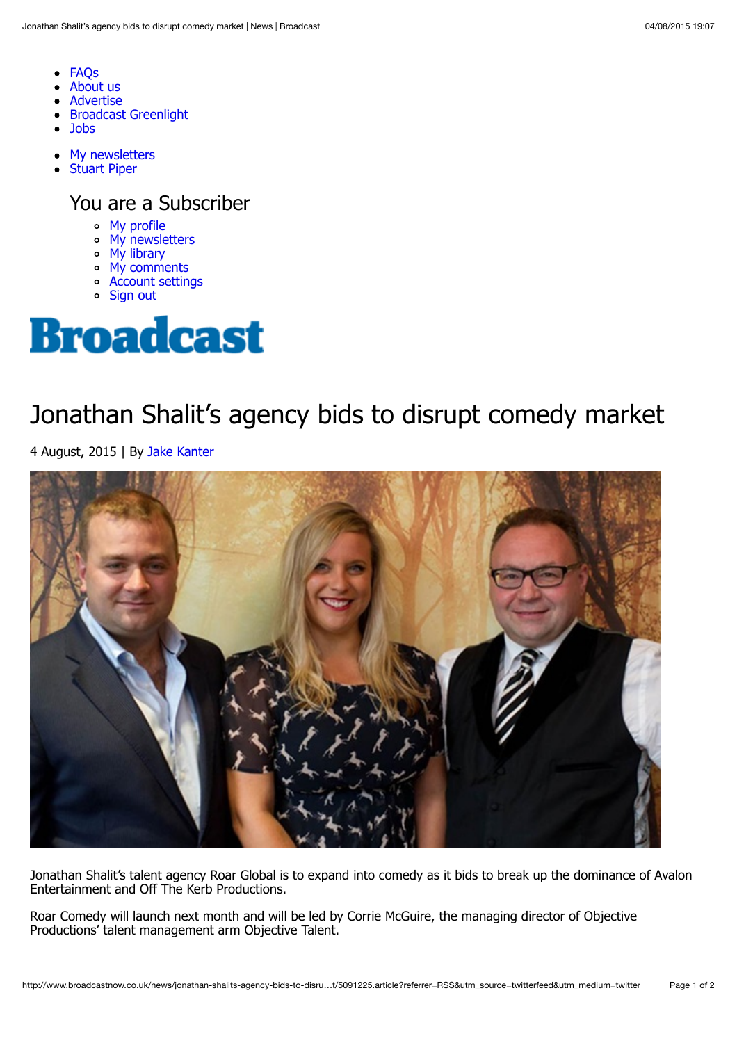- [FAQs](http://www.broadcastnow.co.uk/subscriptions-faq/)  $\bullet$
- [About us](http://www.broadcastnow.co.uk/about-us)
- [Advertise](http://www.broadcastnow.co.uk/about-us/advertising)
- [Broadcast Greenlight](http://greenlight.broadcastnow.co.uk/)
- **[Jobs](http://www.broadcastjobs.co.uk/?WT.mc_id=Broadcast)**
- [My newsletters](http://www.broadcastnow.co.uk/my-account/my-newsletters)  $\bullet$
- **[Stuart Piper](http://www.broadcastnow.co.uk/news/jonathan-shalits-agency-bids-to-disrupt-comedy-market/5091225.article?referrer=RSS&utm_source=twitterfeed&utm_medium=twitter#)**  $\bullet$

You are a Subscriber

- [My profile](http://www.broadcastnow.co.uk/my-profile/)
- [My newsletters](http://www.broadcastnow.co.uk/my-account/my-newsletters)
- [My library](http://www.broadcastnow.co.uk/my-account/my-library)
- [My comments](http://www.broadcastnow.co.uk/my-account/my-comments)
- [Account settings](http://www.broadcastnow.co.uk/my-account/account-settings)
- [Sign out](http://www.broadcastnow.co.uk/sign-out/)



## Jonathan Shalit's agency bids to disrupt comedy market

4 August, 2015 | By [Jake Kanter](http://www.broadcastnow.co.uk/jake-kanter/1100277.bio)



Jonathan Shalit's talent agency Roar Global is to expand into comedy as it bids to break up the dominance of Avalon Entertainment and Off The Kerb Productions.

Roar Comedy will launch next month and will be led by Corrie McGuire, the managing director of Objective Productions' talent management arm Objective Talent.